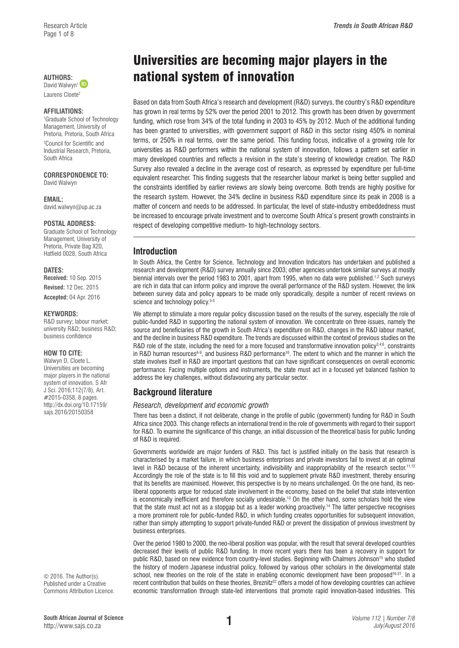Laurens Cloete<sup>2</sup>

#### **AFFILIATIONS:**

1 Graduate School of Technology Management, University of Pretoria, Pretoria, South Africa

2 Council for Scientific and Industrial Research, Pretoria, South Africa

**CORRESPONDENCE TO:**  David Walwyn

**EMAIL:**  [david.walwyn@up.ac.za](mailto:david.walwyn@up.ac.za)

#### **POSTAL ADDRESS:**

Graduate School of Technology Management, University of Pretoria, Private Bag X20, Hatfield 0028, South Africa

#### **DATES:**

**Received:** 10 Sep. 2015 **Revised:** 12 Dec. 2015

**Accepted:** 04 Apr. 2016

#### **KEYWORDS:**

R&D survey; labour market; university R&D; business R&D; business confidence

#### **HOW TO CITE:**

Walwyn D, Cloete L. Universities are becoming major players in the national system of innovation. S Afr J Sci. 2016;112(7/8), Art. #2015-0358, 8 pages. [http://dx.doi.org/10.17159/](http://dx.doi.org/10.17159/sajs.2016/20150358) [sajs.2016/20150358](http://dx.doi.org/10.17159/sajs.2016/20150358)

© 2016. The Author(s). Published under a Creative Commons Attribution Licence.

# Universities are becoming major players in the AUTHORS:<br>David Walwyn<sup>1</sup> **D**<br>David Walwyn<sup>1</sup> **D**

Based on data from South Africa's research and development (R&D) surveys, the country's R&D expenditure has grown in real terms by 52% over the period 2001 to 2012. This growth has been driven by government funding, which rose from 34% of the total funding in 2003 to 45% by 2012. Much of the additional funding has been granted to universities, with government support of R&D in this sector rising 450% in nominal terms, or 250% in real terms, over the same period. This funding focus, indicative of a growing role for universities as R&D performers within the national system of innovation, follows a pattern set earlier in many developed countries and reflects a revision in the state's steering of knowledge creation. The R&D Survey also revealed a decline in the average cost of research, as expressed by expenditure per full-time equivalent researcher. This finding suggests that the researcher labour market is being better supplied and the constraints identified by earlier reviews are slowly being overcome. Both trends are highly positive for the research system. However, the 34% decline in business R&D expenditure since its peak in 2008 is a matter of concern and needs to be addressed. In particular, the level of state-industry embeddedness must be increased to encourage private investment and to overcome South Africa's present growth constraints in respect of developing competitive medium- to high-technology sectors.

# **Introduction**

In South Africa, the Centre for Science, Technology and Innovation Indicators has undertaken and published a research and development (R&D) survey annually since 2003; other agencies undertook similar surveys at mostly biennial intervals over the period 1983 to 2001, apart from 1995, when no data were published.<sup>1,2</sup> Such surveys are rich in data that can inform policy and improve the overall performance of the R&D system. However, the link between survey data and policy appears to be made only sporadically, despite a number of recent reviews on science and technology policy.<sup>3-5</sup>

We attempt to stimulate a more regular policy discussion based on the results of the survey, especially the role of public-funded R&D in supporting the national system of innovation. We concentrate on three issues, namely the source and beneficiaries of the growth in South Africa's expenditure on R&D, changes in the R&D labour market, and the decline in business R&D expenditure. The trends are discussed within the context of previous studies on the R&D role of the state, including the need for a more focused and transformative innovation policy<sup>3,4,6</sup>, constraints in R&D human resources<sup>6.9</sup>, and business R&D performance<sup>10</sup>. The extent to which and the manner in which the state involves itself in R&D are important questions that can have significant consequences on overall economic performance. Facing multiple options and instruments, the state must act in a focused yet balanced fashion to address the key challenges, without disfavouring any particular sector.

# **Background literature**

#### *Research, development and economic growth*

There has been a distinct, if not deliberate, change in the profile of public (government) funding for R&D in South Africa since 2003. This change reflects an international trend in the role of governments with regard to their support for R&D. To examine the significance of this change, an initial discussion of the theoretical basis for public funding of R&D is required.

Governments worldwide are major funders of R&D. This fact is justified initially on the basis that research is characterised by a market failure, in which business enterprises and private investors fail to invest at an optimal level in R&D because of the inherent uncertainty, indivisibility and inappropriability of the research sector.<sup>11,12</sup> Accordingly the role of the state is to fill this void and to supplement private R&D investment, thereby ensuring that its benefits are maximised. However, this perspective is by no means unchallenged. On the one hand, its neoliberal opponents argue for reduced state involvement in the economy, based on the belief that state intervention is economically inefficient and therefore socially undesirable.<sup>13</sup> On the other hand, some scholars hold the view that the state must act not as a stopgap but as a leader working proactively.14 The latter perspective recognises a more prominent role for public-funded R&D, in which funding creates opportunities for subsequent innovation, rather than simply attempting to support private-funded R&D or prevent the dissipation of previous investment by business enterprises.

Over the period 1980 to 2000, the neo-liberal position was popular, with the result that several developed countries decreased their levels of public R&D funding. In more recent years there has been a recovery in support for public R&D, based on new evidence from country-level studies. Beginning with Chalmers Johnson<sup>15</sup> who studied the history of modern Japanese industrial policy, followed by various other scholars in the developmental state school, new theories on the role of the state in enabling economic development have been proposed<sup>16-21</sup>. In a recent contribution that builds on these theories, Breznitz<sup>22</sup> offers a model of how developing countries can achieve economic transformation through state-led interventions that promote rapid innovation-based industries. This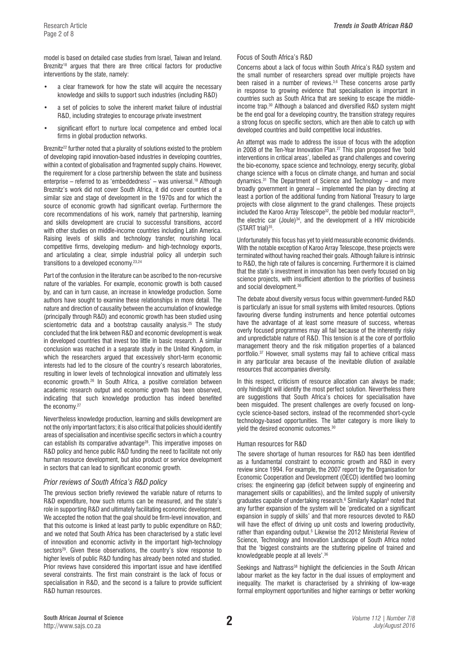model is based on detailed case studies from Israel, Taiwan and Ireland. Breznitz<sup>18</sup> argues that there are three critical factors for productive interventions by the state, namely:

- a clear framework for how the state will acquire the necessary knowledge and skills to support such industries (including R&D)
- a set of policies to solve the inherent market failure of industrial R&D, including strategies to encourage private investment
- significant effort to nurture local competence and embed local firms in global production networks.

Breznitz<sup>22</sup> further noted that a plurality of solutions existed to the problem of developing rapid innovation-based industries in developing countries, within a context of globalisation and fragmented supply chains. However, the requirement for a close partnership between the state and business enterprise – referred to as 'embeddedness' – was universal.18 Although Breznitz's work did not cover South Africa, it did cover countries of a similar size and stage of development in the 1970s and for which the source of economic growth had significant overlap. Furthermore the core recommendations of his work, namely that partnership, learning and skills development are crucial to successful transitions, accord with other studies on middle-income countries including Latin America. Raising levels of skills and technology transfer, nourishing local competitive firms, developing medium- and high-technology exports, and articulating a clear, simple industrial policy all underpin such transitions to a developed economy.23,24

Part of the confusion in the literature can be ascribed to the non-recursive nature of the variables. For example, economic growth is both caused by, and can in turn cause, an increase in knowledge production. Some authors have sought to examine these relationships in more detail. The nature and direction of causality between the accumulation of knowledge (principally through R&D) and economic growth has been studied using scientometric data and a bootstrap causality analysis.<sup>25</sup> The study concluded that the link between R&D and economic development is weak in developed countries that invest too little in basic research. A similar conclusion was reached in a separate study in the United Kingdom, in which the researchers argued that excessively short-term economic interests had led to the closure of the country's research laboratories, resulting in lower levels of technological innovation and ultimately less economic growth.26 In South Africa, a positive correlation between academic research output and economic growth has been observed, indicating that such knowledge production has indeed benefited the economy.<sup>27</sup>

Nevertheless knowledge production, learning and skills development are not the only important factors; it is also critical that policies should identify areas of specialisation and incentivise specific sectors in which a country can establish its comparative advantage<sup>28</sup>. This imperative imposes on R&D policy and hence public R&D funding the need to facilitate not only human resource development, but also product or service development in sectors that can lead to significant economic growth.

## *Prior reviews of South Africa's R&D policy*

The previous section briefly reviewed the variable nature of returns to R&D expenditure, how such returns can be measured, and the state's role in supporting R&D and ultimately facilitating economic development. We accepted the notion that the goal should be firm-level innovation, and that this outcome is linked at least partly to public expenditure on R&D; and we noted that South Africa has been characterised by a static level of innovation and economic activity in the important high-technology sectors<sup>29</sup>. Given these observations, the country's slow response to higher levels of public R&D funding has already been noted and studied. Prior reviews have considered this important issue and have identified several constraints. The first main constraint is the lack of focus or specialisation in R&D, and the second is a failure to provide sufficient R&D human resources.

#### Focus of South Africa's R&D

Concerns about a lack of focus within South Africa's R&D system and the small number of researchers spread over multiple projects have been raised in a number of reviews.<sup>3,6</sup> These concerns arose partly in response to growing evidence that specialisation is important in countries such as South Africa that are seeking to escape the middleincome trap.30 Although a balanced and diversified R&D system might be the end goal for a developing country, the transition strategy requires a strong focus on specific sectors, which are then able to catch up with developed countries and build competitive local industries.

An attempt was made to address the issue of focus with the adoption in 2008 of the Ten-Year Innovation Plan.<sup>27</sup> This plan proposed five 'bold interventions in critical areas', labelled as grand challenges and covering the bio-economy, space science and technology, energy security, global change science with a focus on climate change, and human and social dynamics.31 The Department of Science and Technology – and more broadly government in general – implemented the plan by directing at least a portion of the additional funding from National Treasury to large projects with close alignment to the grand challenges. These projects included the Karoo Array Telescope<sup>32</sup>, the pebble bed modular reactor<sup>33</sup>, the electric car (Joule)<sup>34</sup>, and the development of a HIV microbicide (START trial)35.

Unfortunately this focus has yet to yield measurable economic dividends. With the notable exception of Karoo Array Telescope, these projects were terminated without having reached their goals. Although failure is intrinsic to R&D, the high rate of failures is concerning. Furthermore it is claimed that the state's investment in innovation has been overly focused on big science projects, with insufficient attention to the priorities of business and social development.36

The debate about diversity versus focus within government-funded R&D is particularly an issue for small systems with limited resources. Options favouring diverse funding instruments and hence potential outcomes have the advantage of at least some measure of success, whereas overly focused programmes may all fail because of the inherently risky and unpredictable nature of R&D. This tension is at the core of portfolio management theory and the risk mitigation properties of a balanced portfolio.37 However, small systems may fail to achieve critical mass in any particular area because of the inevitable dilution of available resources that accompanies diversity.

In this respect, criticism of resource allocation can always be made; only hindsight will identify the most perfect solution. Nevertheless there are suggestions that South Africa's choices for specialisation have been misguided. The present challenges are overly focused on longcycle science-based sectors, instead of the recommended short-cycle technology-based opportunities. The latter category is more likely to yield the desired economic outcomes.30

#### Human resources for R&D

The severe shortage of human resources for R&D has been identified as a fundamental constraint to economic growth and R&D in every review since 1994. For example, the 2007 report by the Organisation for Economic Cooperation and Development (OECD) identified two looming crises: the engineering gap (deficit between supply of engineering and management skills or capabilities), and the limited supply of university graduates capable of undertaking research.<sup>6</sup> Similarly Kaplan<sup>9</sup> noted that any further expansion of the system will be 'predicated on a significant expansion in supply of skills' and that more resources devoted to R&D will have the effect of driving up unit costs and lowering productivity, rather than expanding output.<sup>5</sup> Likewise the 2012 Ministerial Review of Science, Technology and Innovation Landscape of South Africa noted that the 'biggest constraints are the stuttering pipeline of trained and knowledgeable people at all levels'.36

Seekings and Nattrass<sup>38</sup> highlight the deficiencies in the South African labour market as the key factor in the dual issues of employment and inequality. The market is characterised by a shrinking of low-wage formal employment opportunities and higher earnings or better working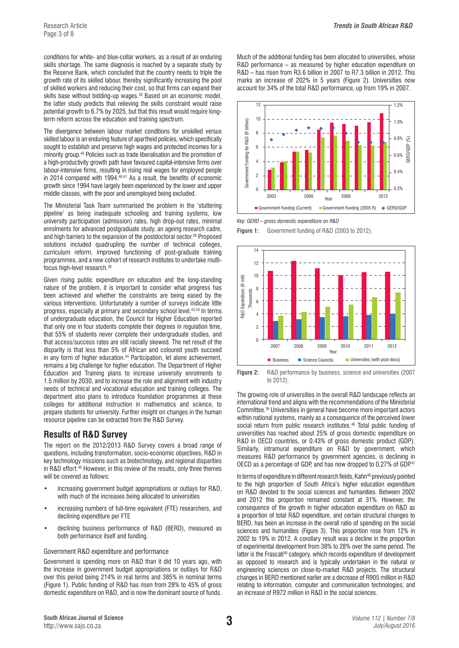conditions for white- and blue-collar workers, as a result of an enduring skills shortage. The same diagnosis is reached by a separate study by the Reserve Bank, which concluded that the country needs to triple the growth rate of its skilled labour, thereby significantly increasing the pool of skilled workers and reducing their cost, so that firms can expand their skills base without bidding-up wages.<sup>39</sup> Based on an economic model, the latter study predicts that relieving the skills constraint would raise potential growth to 6.7% by 2025, but that this result would require longterm reform across the education and training spectrum.

The divergence between labour market conditions for unskilled versus skilled labour is an enduring feature of apartheid policies, which specifically sought to establish and preserve high wages and protected incomes for a minority group.40 Policies such as trade liberalisation and the promotion of a high-productivity growth path have favoured capital-intensive firms over labour-intensive firms, resulting in rising real wages for employed people in 2014 compared with 1994.40,41 As a result, the benefits of economic growth since 1994 have largely been experienced by the lower and upper middle classes, with the poor and unemployed being excluded.

The Ministerial Task Team summarised the problem in the 'stuttering pipeline' as being inadequate schooling and training systems, low university participation (admission) rates, high drop-out rates, minimal enrolments for advanced postgraduate study, an ageing research cadre, and high barriers to the expansion of the postdoctoral sector.<sup>36</sup> Proposed solutions included quadrupling the number of technical colleges, curriculum reform, improved functioning of post-graduate training programmes, and a new cohort of research institutes to undertake multifocus high-level research.36

Given rising public expenditure on education and the long-standing nature of the problem, it is important to consider what progress has been achieved and whether the constraints are being eased by the various interventions. Unfortunately a number of surveys indicate little progress, especially at primary and secondary school level.42,43 In terms of undergraduate education, the Council for Higher Education reported that only one in four students complete their degrees in regulation time, that 55% of students never complete their undergraduate studies, and that access/success rates are still racially skewed. The net result of the disparity is that less than 5% of African and coloured youth succeed in any form of higher education.<sup>44</sup> Participation, let alone achievement, remains a big challenge for higher education. The Department of Higher Education and Training plans to increase university enrolments to 1.5 million by 2030, and to increase the role and alignment with industry needs of technical and vocational education and training colleges. The department also plans to introduce foundation programmes at these colleges for additional instruction in mathematics and science, to prepare students for university. Further insight on changes in the human resource pipeline can be extracted from the R&D Survey.

# **Results of R&D Survey**

The report on the 2012/2013 R&D Survey covers a broad range of questions, including transformation, socio-economic objectives, R&D in key technology missions such as biotechnology, and regional disparities in R&D effort.45 However, in this review of the results, only three themes will be covered as follows:

- increasing government budget appropriations or outlays for R&D, with much of the increases being allocated to universities
- increasing numbers of full-time equivalent (FTE) researchers, and declining expenditure per FTE
- declining business performance of R&D (BERD), measured as both performance itself and funding.

## Government R&D expenditure and performance

Government is spending more on R&D than it did 10 years ago, with the increase in government budget appropriations or outlays for R&D over this period being 214% in real terms and 385% in nominal terms (Figure 1). Public funding of R&D has risen from 28% to 45% of gross domestic expenditure on R&D, and is now the dominant source of funds.

Much of the additional funding has been allocated to universities, whose R&D performance – as measured by higher education expenditure on R&D – has risen from R3.6 billion in 2007 to R7.3 billion in 2012. This marks an increase of 202% in 5 years (Figure 2). Universities now account for 34% of the total R&D performance, up from 19% in 2007.



*Key: GERD* – *gross domestic expenditure on R&D*

**Figure 1:** Government funding of R&D (2003 to 2012).



**Figure 2:** R&D performance by business, science and universities (2007 to 2012).

The growing role of universities in the overall R&D landscape reflects an international trend and aligns with the recommendations of the Ministerial Committee.36 Universities in general have become more important actors within national systems, mainly as a consequence of the perceived lower social return from public research institutes.<sup>46</sup> Total public funding of universities has reached about 25% of gross domestic expenditure on R&D in OECD countries, or 0.43% of gross domestic product (GDP). Similarly, intramural expenditure on R&D by government, which measures R&D performance by government agencies, is declining in OECD as a percentage of GDP, and has now dropped to 0.27% of GDP.<sup>47</sup>

In terms of expenditure in different research fields, Kahn<sup>48</sup> previously pointed to the high proportion of South Africa's higher education expenditure on R&D devoted to the social sciences and humanities. Between 2002 and 2012 this proportion remained constant at 31%. However, the consequence of the growth in higher education expenditure on R&D as a proportion of total R&D expenditure, and certain structural changes to BERD, has been an increase in the overall ratio of spending on the social sciences and humanities (Figure 3). This proportion rose from 12% in 2002 to 19% in 2012. A corollary result was a decline in the proportion of experimental development from 38% to 28% over the same period. The latter is the Frascati<sup>49</sup> category, which records expenditure of development as opposed to research and is typically undertaken in the natural or engineering sciences on close-to-market R&D projects. The structural changes in BERD mentioned earlier are a decrease of R905 million in R&D relating to information, computer and communication technologies; and an increase of R972 million in R&D in the social sciences.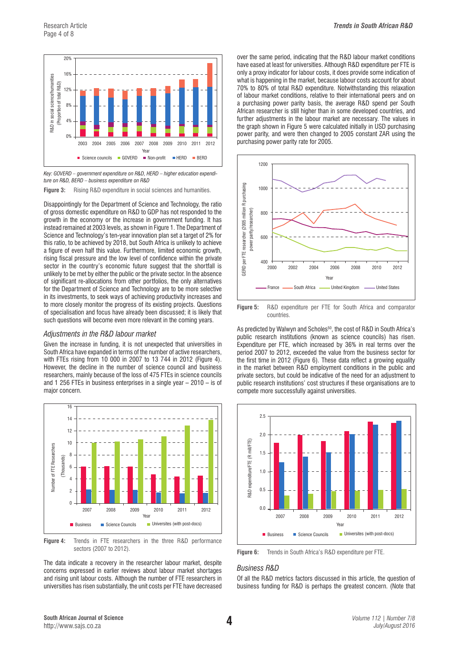

*Key: GOVERD – government expenditure on R&D, HERD – higher education expenditure on R&D, BERD – business expenditure on R&D*

**Figure 3:** Rising R&D expenditure in social sciences and humanities.

Disappointingly for the Department of Science and Technology, the ratio of gross domestic expenditure on R&D to GDP has not responded to the growth in the economy or the increase in government funding. It has instead remained at 2003 levels, as shown in Figure 1. The Department of Science and Technology's ten-year innovation plan set a target of 2% for this ratio, to be achieved by 2018, but South Africa is unlikely to achieve a figure of even half this value. Furthermore, limited economic growth, rising fiscal pressure and the low level of confidence within the private sector in the country's economic future suggest that the shortfall is unlikely to be met by either the public or the private sector. In the absence of significant re-allocations from other portfolios, the only alternatives for the Department of Science and Technology are to be more selective in its investments, to seek ways of achieving productivity increases and to more closely monitor the progress of its existing projects. Questions of specialisation and focus have already been discussed; it is likely that such questions will become even more relevant in the coming years.

### *Adjustments in the R&D labour market*

Given the increase in funding, it is not unexpected that universities in South Africa have expanded in terms of the number of active researchers, with FTEs rising from 10 000 in 2007 to 13 744 in 2012 (Figure 4). However, the decline in the number of science council and business researchers, mainly because of the loss of 475 FTEs in science councils and 1 256 FTEs in business enterprises in a single year – 2010 – is of major concern.



**Figure 4:** Trends in FTE researchers in the three R&D performance sectors (2007 to 2012).

The data indicate a recovery in the researcher labour market, despite concerns expressed in earlier reviews about labour market shortages and rising unit labour costs. Although the number of FTE researchers in universities has risen substantially, the unit costs per FTE have decreased

over the same period, indicating that the R&D labour market conditions have eased at least for universities. Although R&D expenditure per FTE is only a proxy indicator for labour costs, it does provide some indication of what is happening in the market, because labour costs account for about 70% to 80% of total R&D expenditure. Notwithstanding this relaxation of labour market conditions, relative to their international peers and on a purchasing power parity basis, the average R&D spend per South African researcher is still higher than in some developed countries, and further adjustments in the labour market are necessary. The values in the graph shown in Figure 5 were calculated initially in USD purchasing power parity, and were then changed to 2005 constant ZAR using the purchasing power parity rate for 2005.



**Figure 5:** R&D expenditure per FTE for South Africa and comparator countries.

As predicted by Walwyn and Scholes<sup>50</sup>, the cost of R&D in South Africa's public research institutions (known as science councils) has risen. Expenditure per FTE, which increased by 36% in real terms over the period 2007 to 2012, exceeded the value from the business sector for the first time in 2012 (Figure 6). These data reflect a growing equality in the market between R&D employment conditions in the public and private sectors, but could be indicative of the need for an adjustment to public research institutions' cost structures if these organisations are to compete more successfully against universities.



**Figure 6:** Trends in South Africa's R&D expenditure per FTE.

## *Business R&D*

Of all the R&D metrics factors discussed in this article, the question of business funding for R&D is perhaps the greatest concern. (Note that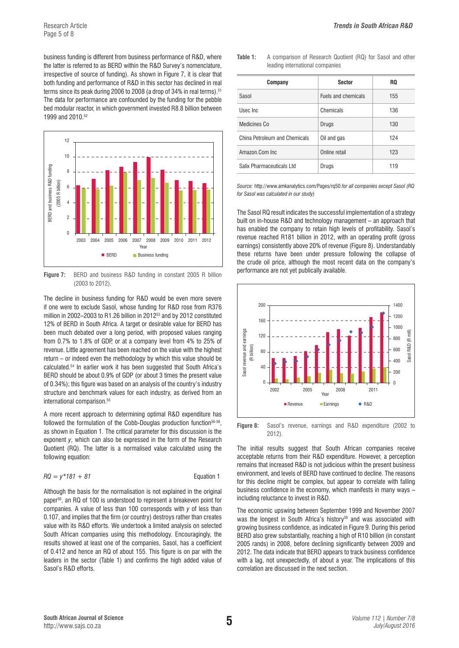business funding is different from business performance of R&D, where the latter is referred to as BERD within the R&D Survey's nomenclature, irrespective of source of funding). As shown in Figure 7, it is clear that both funding and performance of R&D in this sector has declined in real terms since its peak during 2006 to 2008 (a drop of 34% in real terms).<sup>51</sup> The data for performance are confounded by the funding for the pebble bed modular reactor, in which government invested R8.8 billion between 1999 and 2010.52



**Figure 7:** BERD and business R&D funding in constant 2005 R billion (2003 to 2012).

The decline in business funding for R&D would be even more severe if one were to exclude Sasol, whose funding for R&D rose from R376 million in 2002–2003 to R1.26 billion in 201253 and by 2012 constituted 12% of BERD in South Africa. A target or desirable value for BERD has been much debated over a long period, with proposed values ranging from 0.7% to 1.8% of GDP, or at a company level from 4% to 25% of revenue. Little agreement has been reached on the value with the highest return – or indeed even the methodology by which this value should be calculated.54 In earlier work it has been suggested that South Africa's BERD should be about 0.9% of GDP (or about 3 times the present value of 0.34%); this figure was based on an analysis of the country's industry structure and benchmark values for each industry, as derived from an international comparison.55

A more recent approach to determining optimal R&D expenditure has followed the formulation of the Cobb-Douglas production function<sup>56-58</sup>, as shown in Equation 1. The critical parameter for this discussion is the exponent *y*, which can also be expressed in the form of the Research Quotient (RQ). The latter is a normalised value calculated using the following equation:

$$
RQ = y^*181 + 81
$$
 Equation 1

Although the basis for the normalisation is not explained in the original paper56, an RQ of 100 is understood to represent a breakeven point for companies. A value of less than 100 corresponds with *y* of less than 0.107, and implies that the firm (or country) destroys rather than creates value with its R&D efforts. We undertook a limited analysis on selected South African companies using this methodology. Encouragingly, the results showed at least one of the companies, Sasol, has a coefficient of 0.412 and hence an RQ of about 155. This figure is on par with the leaders in the sector (Table 1) and confirms the high added value of Sasol's R&D efforts.

**Table 1:** A comparison of Research Quotient (RQ) for Sasol and other leading international companies

| Company                       | <b>Sector</b>       | RQ  |
|-------------------------------|---------------------|-----|
| Sasol                         | Fuels and chemicals | 155 |
| Usec Inc.                     | Chemicals           | 136 |
| Medicines Co.                 | Drugs               | 130 |
| China Petroleum and Chemicals | Oil and gas         | 124 |
| Amazon.Com Inc.               | Online retail       | 123 |
| Salix Pharmaceuticals Ltd     | Drugs               | 119 |

*Source:* <http://www.amkanalytics.com/Pages/rq50> *for all companies except Sasol (RQ for Sasol was calculated in our study)*

The Sasol RQ result indicates the successful implementation of a strategy built on in-house R&D and technology management – an approach that has enabled the company to retain high levels of profitability. Sasol's revenue reached R181 billion in 2012, with an operating profit (gross earnings) consistently above 20% of revenue (Figure 8). Understandably these returns have been under pressure following the collapse of the crude oil price, although the most recent data on the company's performance are not yet publically available.



**Figure 8:** Sasol's revenue, earnings and R&D expenditure (2002 to 2012).

The initial results suggest that South African companies receive acceptable returns from their R&D expenditure. However, a perception remains that increased R&D is not judicious within the present business environment, and levels of BERD have continued to decline. The reasons for this decline might be complex, but appear to correlate with falling business confidence in the economy, which manifests in many ways – including reluctance to invest in R&D.

The economic upswing between September 1999 and November 2007 was the longest in South Africa's history<sup>59</sup> and was associated with growing business confidence, as indicated in Figure 9. During this period BERD also grew substantially, reaching a high of R10 billion (in constant 2005 rands) in 2008, before declining significantly between 2009 and 2012. The data indicate that BERD appears to track business confidence with a lag, not unexpectedly, of about a year. The implications of this correlation are discussed in the next section.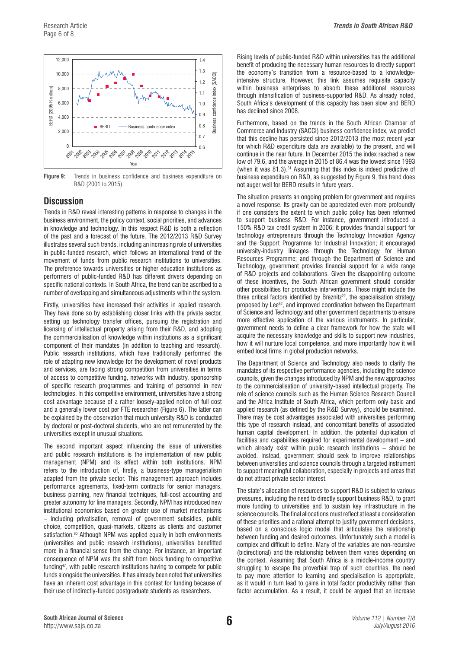

**Figure 9:** Trends in business confidence and business expenditure on R&D (2001 to 2015).

## **Discussion**

Trends in R&D reveal interesting patterns in response to changes in the business environment, the policy context, social priorities, and advances in knowledge and technology. In this respect R&D is both a reflection of the past and a forecast of the future. The 2012/2013 R&D Survey illustrates several such trends, including an increasing role of universities in public-funded research, which follows an international trend of the movement of funds from public research institutions to universities. The preference towards universities or higher education institutions as performers of public-funded R&D has different drivers depending on specific national contexts. In South Africa, the trend can be ascribed to a number of overlapping and simultaneous adjustments within the system.

Firstly, universities have increased their activities in applied research. They have done so by establishing closer links with the private sector, setting up technology transfer offices, pursuing the registration and licensing of intellectual property arising from their R&D, and adopting the commercialisation of knowledge within institutions as a significant component of their mandates (in addition to teaching and research). Public research institutions, which have traditionally performed the role of adapting new knowledge for the development of novel products and services, are facing strong competition from universities in terms of access to competitive funding, networks with industry, sponsorship of specific research programmes and training of personnel in new technologies. In this competitive environment, universities have a strong cost advantage because of a rather loosely-applied notion of full cost and a generally lower cost per FTE researcher (Figure 6). The latter can be explained by the observation that much university R&D is conducted by doctoral or post-doctoral students, who are not remunerated by the universities except in unusual situations.

The second important aspect influencing the issue of universities and public research institutions is the implementation of new public management (NPM) and its effect within both institutions. NPM refers to the introduction of, firstly, a business-type managerialism adapted from the private sector. This management approach includes performance agreements, fixed-term contracts for senior managers, business planning, new financial techniques, full-cost accounting and greater autonomy for line managers. Secondly, NPM has introduced new institutional economics based on greater use of market mechanisms – including privatisation, removal of government subsidies, public choice, competition, quasi-markets, citizens as clients and customer satisfaction.<sup>60</sup> Although NPM was applied equally in both environments (universities and public research institutions), universities benefitted more in a financial sense from the change. For instance, an important consequence of NPM was the shift from block funding to competitive funding47, with public research institutions having to compete for public funds alongside the universities. It has already been noted that universities have an inherent cost advantage in this contest for funding because of their use of indirectly-funded postgraduate students as researchers.

Rising levels of public-funded R&D within universities has the additional benefit of producing the necessary human resources to directly support the economy's transition from a resource-based to a knowledgeintensive structure. However, this link assumes requisite capacity within business enterprises to absorb these additional resources through intensification of business-supported R&D. As already noted, South Africa's development of this capacity has been slow and BERD has declined since 2008.

Furthermore, based on the trends in the South African Chamber of Commerce and Industry (SACCI) business confidence index, we predict that this decline has persisted since 2012/2013 (the most recent year for which R&D expenditure data are available) to the present, and will continue in the near future. In December 2015 the index reached a new low of 79.6, and the average in 2015 of 86.4 was the lowest since 1993 (when it was  $81.3$ ).<sup>61</sup> Assuming that this index is indeed predictive of business expenditure on R&D, as suggested by Figure 9, this trend does not auger well for BERD results in future years.

The situation presents an ongoing problem for government and requires a novel response. Its gravity can be appreciated even more profoundly if one considers the extent to which public policy has been reformed to support business R&D. For instance, government introduced a 150% R&D tax credit system in 2006; it provides financial support for technology entrepreneurs through the Technology Innovation Agency and the Support Programme for Industrial Innovation; it encouraged university-industry linkages through the Technology for Human Resources Programme; and through the Department of Science and Technology, government provides financial support for a wide range of R&D projects and collaborations. Given the disappointing outcome of these incentives, the South African government should consider other possibilities for productive interventions. These might include the three critical factors identified by Breznitz<sup>22</sup>, the specialisation strategy proposed by Lee62, and improved coordination between the Department of Science and Technology and other government departments to ensure more effective application of the various instruments. In particular, government needs to define a clear framework for how the state will acquire the necessary knowledge and skills to support new industries, how it will nurture local competence, and more importantly how it will embed local firms in global production networks.

The Department of Science and Technology also needs to clarify the mandates of its respective performance agencies, including the science councils, given the changes introduced by NPM and the new approaches to the commercialisation of university-based intellectual property. The role of science councils such as the Human Science Research Council and the Africa Institute of South Africa, which perform only basic and applied research (as defined by the R&D Survey), should be examined. There may be cost advantages associated with universities performing this type of research instead, and concomitant benefits of associated human capital development. In addition, the potential duplication of facilities and capabilities required for experimental development – and which already exist within public research institutions – should be avoided. Instead, government should seek to improve relationships between universities and science councils through a targeted instrument to support meaningful collaboration, especially in projects and areas that do not attract private sector interest.

The state's allocation of resources to support R&D is subject to various pressures, including the need to directly support business R&D, to grant more funding to universities and to sustain key infrastructure in the science councils. The final allocations must reflect at least a consideration of these priorities and a rational attempt to justify government decisions, based on a conscious logic model that articulates the relationship between funding and desired outcomes. Unfortunately such a model is complex and difficult to define. Many of the variables are non-recursive (bidirectional) and the relationship between them varies depending on the context. Assuming that South Africa is a middle-income country struggling to escape the proverbial trap of such countries, the need to pay more attention to learning and specialisation is appropriate, as it would in turn lead to gains in total factor productivity rather than factor accumulation. As a result, it could be argued that an increase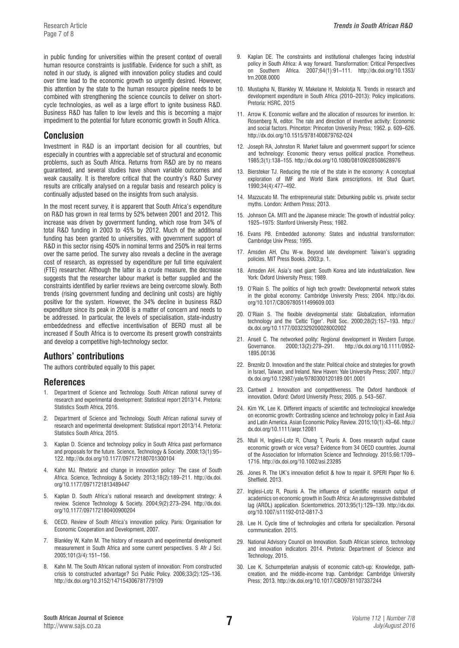in public funding for universities within the present context of overall human resource constraints is justifiable. Evidence for such a shift, as noted in our study, is aligned with innovation policy studies and could over time lead to the economic growth so urgently desired. However, this attention by the state to the human resource pipeline needs to be combined with strengthening the science councils to deliver on shortcycle technologies, as well as a large effort to ignite business R&D. Business R&D has fallen to low levels and this is becoming a major impediment to the potential for future economic growth in South Africa.

## **Conclusion**

Investment in R&D is an important decision for all countries, but especially in countries with a appreciable set of structural and economic problems, such as South Africa. Returns from R&D are by no means guaranteed, and several studies have shown variable outcomes and weak causality. It is therefore critical that the country's R&D Survey results are critically analysed on a regular basis and research policy is continually adjusted based on the insights from such analysis.

In the most recent survey, it is apparent that South Africa's expenditure on R&D has grown in real terms by 52% between 2001 and 2012. This increase was driven by government funding, which rose from 34% of total R&D funding in 2003 to 45% by 2012. Much of the additional funding has been granted to universities, with government support of R&D in this sector rising 450% in nominal terms and 250% in real terms over the same period. The survey also reveals a decline in the average cost of research, as expressed by expenditure per full time equivalent (FTE) researcher. Although the latter is a crude measure, the decrease suggests that the researcher labour market is better supplied and the constraints identified by earlier reviews are being overcome slowly. Both trends (rising government funding and declining unit costs) are highly positive for the system. However, the 34% decline in business R&D expenditure since its peak in 2008 is a matter of concern and needs to be addressed. In particular, the levels of specialisation, state-industry embeddedness and effective incentivisation of BERD must all be increased if South Africa is to overcome its present growth constraints and develop a competitive high-technology sector.

## **Authors' contributions**

The authors contributed equally to this paper.

## **References**

- 1. Department of Science and Technology. South African national survey of research and experimental development: Statistical report 2013/14. Pretoria: Statistics South Africa, 2016.
- 2. Department of Science and Technology. South African national survey of research and experimental development: Statistical report 2013/14. Pretoria: Statistics South Africa, 2015.
- 3. Kaplan D. Science and technology policy in South Africa past performance and proposals for the future. Science, Technology & Society. 2008;13(1):95– 122. <http://dx.doi.org/10.1177/097172180701300104>
- 4. Kahn MJ. Rhetoric and change in innovation policy: The case of South Africa. Science, Technology & Society. 2013;18(2):189–211. [http://dx.doi.](http://dx.doi.org/10.1177/0971721813489447) [org/10.1177/0971721813489447](http://dx.doi.org/10.1177/0971721813489447)
- 5. Kaplan D. South Africa's national research and development strategy: A review. Science Technology & Society. 2004;9(2):273–294. [http://dx.doi.](http://dx.doi.org/10.1177/097172180400900204) [org/10.1177/097172180400900204](http://dx.doi.org/10.1177/097172180400900204)
- 6. OECD. Review of South Africa's innovation policy. Paris: Organisation for Economic Cooperation and Development, 2007.
- 7. Blankley W, Kahn M. The history of research and experimental development measurement in South Africa and some current perspectives. S Afr J Sci. 2005;101(3/4):151–156.
- 8. Kahn M. The South African national system of innovation: From constructed crisis to constructed advantage? Sci Public Policy. 2006;33(2):125–136. <http://dx.doi.org/10.3152/147154306781779109>
- 9. Kaplan DE. The constraints and institutional challenges facing industrial policy in South Africa: A way forward. Transformation: Critical Perspectives on Southern Africa. 2007;64(1):91–111. [http://dx.doi.org/10.1353/](http://dx.doi.org/10.1353/trn.2008.0000) [trn.2008.0000](http://dx.doi.org/10.1353/trn.2008.0000)
- 10. Mustapha N, Blankley W, Makelane H, Mololotja N. Trends in research and development expenditure in South Africa (2010–2013): Policy implications. Pretoria: HSRC, 2015
- 11. Arrow K. Economic welfare and the allocation of resources for invention. In: Rosenberg N, editor. The rate and direction of inventive activity: Economic and social factors. Princeton: Princeton University Press; 1962. p. 609–626. [http://dx.doi.org/10.1515/9781400879762-024](http://dx.doi.org/10.1515/9781400879762-024
)
- 12. Joseph RA, Johnston R. Market failure and government support for science and technology: Economic theory versus political practice. Prometheus. 1985;3(1):138–155.<http://dx.doi.org/10.1080/08109028508628976>
- 13. Biersteker TJ. Reducing the role of the state in the economy: A conceptual exploration of IMF and World Bank prescriptions. Int Stud Quart. 1990;34(4):477–492.
- 14. Mazzucato M. The entrepreneurial state: Debunking public vs. private sector myths. London: Anthem Press; 2013.
- 15. Johnson CA. MITI and the Japanese miracle: The growth of industrial policy: 1925–1975: Stanford University Press; 1982.
- 16. Evans PB. Embedded autonomy: States and industrial transformation: Cambridge Univ Press; 1995.
- 17. Amsden AH, Chu W-w. Beyond late development: Taiwan's upgrading policies. MIT Press Books. 2003;p. 1.
- 18. Amsden AH. Asia's next giant: South Korea and late industrialization. New York: Oxford University Press; 1989.
- 19. O'Riain S. The politics of high tech growth: Developmental network states in the global economy: Cambridge University Press; 2004. [http://dx.doi.](http://dx.doi.org/10.1017/CBO9780511499609.003) [org/10.1017/CBO9780511499609.003](http://dx.doi.org/10.1017/CBO9780511499609.003)
- 20. O'Riain S. The flexible developmental state: Globalization, information technology and the 'Celtic Tiger'. Polit Soc. 2000;28(2):157–193. [http://](http://dx.doi.org/10.1177/0032329200028002002) [dx.doi.org/10.1177/0032329200028002002](http://dx.doi.org/10.1177/0032329200028002002)
- 21. Ansell C. The networked polity: Regional development in Western Europe. Governance. 2000;13(2):279–291. [http://dx.doi.org/10.1111/0952-](http://dx.doi.org/10.1111/0952-1895.00136) [1895.00136](http://dx.doi.org/10.1111/0952-1895.00136)
- 22. Breznitz D. Innovation and the state: Political choice and strategies for growth in Israel, Taiwan, and Ireland. New Haven: Yale University Press; 2007. [http://](http://dx.doi.org/10.12987/yale/9780300120189.001.0001) [dx.doi.org/10.12987/yale/9780300120189.001.0001](http://dx.doi.org/10.12987/yale/9780300120189.001.0001)
- 23. Cantwell J. Innovation and competitiveness. The Oxford handbook of innovation. Oxford: Oxford University Press; 2005. p. 543–567.
- 24. Kim YK, Lee K. Different impacts of scientific and technological knowledge on economic growth: Contrasting science and technology policy in East Asia and Latin America. Asian Economic Policy Review. 2015;10(1):43–66. [http://](http://dx.doi.org/10.1111/aepr.12081) [dx.doi.org/10.1111/aepr.12081](http://dx.doi.org/10.1111/aepr.12081)
- 25. Ntuli H, Inglesi-Lotz R, Chang T, Pouris A. Does research output cause economic growth or vice versa? Evidence from 34 OECD countries. Journal of the Association for Information Science and Technology. 2015;66:1709– 1716.<http://dx.doi.org/10.1002/asi.23285>
- 26. Jones R. The UK's innovation deficit & how to repair it. SPERI Paper No 6. Sheffield. 2013.
- 27. Inglesi-Lotz R, Pouris A. The influence of scientific research output of academics on economic growth in South Africa: An autoregressive distributed lag (ARDL) application. Scientometrics. 2013;95(1):129–139. [http://dx.doi.](http://dx.doi.org/10.1007/s11192-012-0817-3
) [org/10.1007/s11192-012-0817-3](http://dx.doi.org/10.1007/s11192-012-0817-3
)
- 28. Lee H. Cycle time of technologies and criteria for specialization. Personal communication. 2015.
- 29. National Advisory Council on Innovation. South African science, technology and innovation indicators 2014. Pretoria: Department of Science and Technology, 2015.
- 30. Lee K. Schumpeterian analysis of economic catch-up: Knowledge, pathcreation, and the middle-income trap. Cambridge: Cambridge University Press; 2013. <http://dx.doi.org/10.1017/CBO9781107337244>